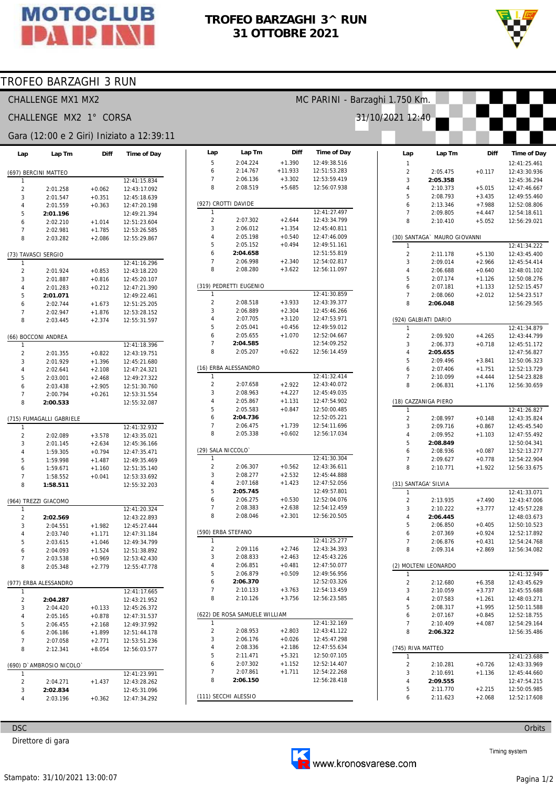

# TROFEO BARZAGHI 3^ RUN 31 OTTOBRE 2021

Diff

Time of Day

Lap

Lap Tm

MC PARINI - Barzaghi 1.750 Km.

31/10/2021 12:40



## TROFEO BARZAGHI 3 RUN

**CHALLENGE MX1 MX2** 

### CHALLENGE MX2 1° CORSA

#### Gara (12:00 e 2 Giri) Iniziato a 12:39:11

| Lap                      | Lap Tm                   | Diff     | <b>Time of Day</b> |  |  |
|--------------------------|--------------------------|----------|--------------------|--|--|
|                          | (697) BERCINI MATTEO     |          |                    |  |  |
| 1                        |                          |          | 12:41:15.834       |  |  |
| $\overline{2}$           | 2:01.258                 | $+0.062$ | 12:43:17.092       |  |  |
| 3                        | 2:01.547                 | $+0.351$ | 12:45:18.639       |  |  |
| 4                        | 2:01.559                 | $+0.363$ | 12:47:20.198       |  |  |
| 5                        | 2:01.196                 |          | 12:49:21.394       |  |  |
| 6                        | 2:02.210                 | $+1.014$ | 12:51:23.604       |  |  |
| 7                        | 2:02.981                 | $+1.785$ | 12:53:26.585       |  |  |
| 8                        | 2:03.282                 | $+2.086$ | 12:55:29.867       |  |  |
| (73) TAVASCI SERGIO<br>1 |                          |          | 12:41:16.296       |  |  |
| $\overline{c}$           | 2:01.924                 | $+0.853$ | 12:43:18.220       |  |  |
| 3                        | 2:01.887                 | $+0.816$ | 12:45:20.107       |  |  |
| 4                        | 2:01.283                 | $+0.212$ | 12:47:21.390       |  |  |
| 5                        | 2:01.071                 |          | 12:49:22.461       |  |  |
| 6                        | 2:02.744                 | $+1.673$ | 12:51:25.205       |  |  |
| 7                        | 2:02.947                 | $+1.876$ | 12:53:28.152       |  |  |
| 8                        | 2:03.445                 | $+2.374$ | 12:55:31.597       |  |  |
|                          |                          |          |                    |  |  |
| (66)                     | <b>BOCCONI ANDREA</b>    |          |                    |  |  |
| 1                        |                          |          | 12:41:18.396       |  |  |
| $\overline{2}$           | 2:01.355                 | $+0.822$ | 12:43:19.751       |  |  |
| 3                        | 2:01.929                 | $+1.396$ | 12:45:21.680       |  |  |
| 4                        | 2:02.641                 | $+2.108$ | 12:47:24.321       |  |  |
| 5                        | 2:03.001                 | $+2.468$ | 12:49:27.322       |  |  |
| 6                        | 2:03.438                 | $+2.905$ | 12:51:30.760       |  |  |
| 7                        | 2:00.794                 | $+0.261$ | 12:53:31.554       |  |  |
| 8                        | 2:00.533                 |          | 12:55:32.087       |  |  |
|                          | (715) FUMAGALLI GABRIELE |          |                    |  |  |
| 1                        |                          |          | 12:41:32.932       |  |  |
| 2                        | 2:02.089                 | $+3.578$ | 12:43:35.021       |  |  |
| 3                        | 2:01.145                 | $+2.634$ | 12:45:36.166       |  |  |
| 4                        | 1:59.305                 | $+0.794$ | 12:47:35.471       |  |  |
| 5                        | 1:59.998                 | $+1.487$ | 12:49:35.469       |  |  |
| 6                        | 1:59.671                 | $+1.160$ | 12:51:35.140       |  |  |
| 7                        | 1:58.552                 | $+0.041$ | 12:53:33.692       |  |  |
| 8                        | 1:58.511                 |          | 12:55:32.203       |  |  |
|                          | (964) TREZZI GIACOMO     |          |                    |  |  |
| 1                        |                          |          | 12:41:20.324       |  |  |
| 2                        | 2:02.569                 |          | 12:43:22.893       |  |  |
| 3                        | 2:04.551                 | $+1.982$ | 12:45:27.444       |  |  |
| 4                        | 2:03.740                 | $+1.171$ | 12:47:31.184       |  |  |
| 5                        | 2:03.615                 | $+1.046$ | 12:49:34.799       |  |  |
| 6                        | 2:04.093                 | $+1.524$ | 12:51:38.892       |  |  |
| 7                        | 2:03.538                 | $+0.969$ | 12:53:42.430       |  |  |
| 8                        | 2:05.348                 | +2.779   | 12:55:47.778       |  |  |
| (977) ERBA ALESSANDRO    |                          |          |                    |  |  |
| 1                        |                          |          | 12:41:17.665       |  |  |
| $\overline{2}$           | 2:04.287                 |          | 12:43:21.952       |  |  |
| 3                        | 2:04.420                 | +0.133   | 12:45:26.372       |  |  |
| 4                        | 2:05.165                 | $+0.878$ | 12:47:31.537       |  |  |
| 5                        | 2:06.455                 | $+2.168$ | 12:49:37.992       |  |  |
| 6                        | 2:06.186                 | $+1.899$ | 12:51:44.178       |  |  |
| 7                        | 2:07.058                 | $+2.771$ | 12:53:51.236       |  |  |
| 8                        | 2:12.341                 | $+8.054$ | 12:56:03.577       |  |  |
| (690) D'AMBROSIO NICOLO' |                          |          |                    |  |  |
| 1                        |                          |          | 12:41:23.991       |  |  |
| $\overline{2}$           | 2:04.271                 | +1.437   | 12:43:28.262       |  |  |
| 3                        | 2:02.834                 |          | 12:45:31.096       |  |  |
| 4                        | 2:03.196                 | $+0.362$ | 12:47:34.292       |  |  |

|--|

Direttore di gara

| 5                             | 2:04.224                  | $+1.390$  | 12:49:38.516 |  |
|-------------------------------|---------------------------|-----------|--------------|--|
| 6                             | 2:14.767                  | $+11.933$ | 12:51:53.283 |  |
| 7                             | 2:06.136                  | $+3.302$  | 12:53:59.419 |  |
| 8                             | 2:08.519                  | $+5.685$  | 12:56:07.938 |  |
|                               |                           |           |              |  |
|                               | (927) CROTTI DAVIDE       |           |              |  |
| 1                             |                           |           | 12:41:27.497 |  |
| 2                             | 2:07.302                  | $+2.644$  | 12:43:34.799 |  |
| 3                             | 2:06.012                  | $+1.354$  | 12:45:40.811 |  |
| 4                             | 2:05.198                  | $+0.540$  | 12:47:46.009 |  |
| 5                             | 2:05.152                  | $+0.494$  | 12:49:51.161 |  |
| 6                             | 2:04.658                  |           | 12:51:55.819 |  |
| 7                             | 2:06.998                  | $+2.340$  | 12:54:02.817 |  |
| 8                             | 2:08.280                  | $+3.622$  | 12:56:11.097 |  |
|                               |                           |           |              |  |
|                               | (319) PEDRETTI EUGENIO    |           |              |  |
| 1                             |                           |           | 12:41:30.859 |  |
| 2                             | 2:08.518                  | $+3.933$  | 12:43:39.377 |  |
| 3                             | 2:06.889                  | $+2.304$  | 12:45:46.266 |  |
| 4                             | 2:07.705                  | $+3.120$  | 12:47:53.971 |  |
| 5                             | 2:05.041                  |           | 12:49:59.012 |  |
|                               |                           | $+0.456$  |              |  |
| 6                             | 2:05.655                  | $+1.070$  | 12:52:04.667 |  |
| 7                             | 2:04.585                  |           | 12:54:09.252 |  |
| 8                             | 2:05.207                  | $+0.622$  | 12:56:14.459 |  |
|                               |                           |           |              |  |
|                               | (16) ERBA ALESSANDRO      |           |              |  |
| 1                             |                           |           | 12:41:32.414 |  |
| $\overline{2}$                | 2:07.658                  | $+2.922$  | 12:43:40.072 |  |
| 3                             | 2:08.963                  | $+4.227$  | 12:45:49.035 |  |
| 4                             | 2:05.867                  | $+1.131$  | 12:47:54.902 |  |
| 5                             | 2:05.583                  | $+0.847$  | 12:50:00.485 |  |
| 6                             | 2:04.736                  |           | 12:52:05.221 |  |
| 7                             | 2:06.475                  | $+1.739$  | 12:54:11.696 |  |
| 8                             | 2:05.338                  | $+0.602$  | 12:56:17.034 |  |
|                               |                           |           |              |  |
| (29)                          | SALA NICCOLO <sup>®</sup> |           |              |  |
| 1                             |                           |           | 12:41:30.304 |  |
| 2                             | 2:06.307                  | $+0.562$  | 12:43:36.611 |  |
| 3                             | 2:08.277                  | $+2.532$  | 12:45:44.888 |  |
| 4                             | 2:07.168                  | $+1.423$  | 12:47:52.056 |  |
| 5                             | 2:05.745                  |           | 12:49:57.801 |  |
| 6                             | 2:06.275                  | $+0.530$  | 12:52:04.076 |  |
| 7                             | 2:08.383                  | $+2.638$  | 12:54:12.459 |  |
| 8                             | 2:08.046                  | $+2.301$  | 12:56:20.505 |  |
|                               |                           |           |              |  |
|                               | (590) ERBA STEFANO        |           |              |  |
| 1                             |                           |           | 12:41:25.277 |  |
| 2                             | 2:09.116                  | $+2.746$  | 12:43:34.393 |  |
| 3                             | 2:08.833                  | $+2.463$  | 12:45:43.226 |  |
| 4                             | 2:06.851                  | $+0.481$  | 12:47:50.077 |  |
| 5                             | 2:06.879                  | $+0.509$  | 12:49:56.956 |  |
| 6                             | 2:06.370                  |           | 12:52:03.326 |  |
| 7                             | 2:10.133                  | $+3.763$  | 12:54:13.459 |  |
| 8                             | 2:10.126                  | $+3.756$  | 12:56:23.585 |  |
|                               |                           |           |              |  |
| (622) DE ROSA SAMUELE WILLIAM |                           |           |              |  |
| 1                             |                           |           | 12:41:32.169 |  |
| 2                             | 2:08.953                  | $+2.803$  | 12:43:41.122 |  |
| 3                             | 2:06.176                  | $+0.026$  | 12:45:47.298 |  |
| 4                             | 2:08.336                  | $+2.186$  | 12:47:55.634 |  |
| 5                             | 2:11.471                  | $+5.321$  | 12:50:07.105 |  |
| 6                             | 2:07.302                  | $+1.152$  | 12:52:14.407 |  |
| 7                             | 2:07.861                  | $+1.711$  | 12:54:22.268 |  |
| 8                             | 2:06.150                  |           | 12:56:28.418 |  |
|                               |                           |           |              |  |
|                               | (111) SECCHI ALESSIO      |           |              |  |
|                               |                           |           |              |  |
|                               |                           |           |              |  |

| Lap                  | Lap Tm                       | Diff                 | <b>Time of Day</b>           |  |
|----------------------|------------------------------|----------------------|------------------------------|--|
| 1                    |                              |                      | 12:41:25.461                 |  |
| $\overline{2}$<br>3  | 2:05.475<br>2:05.358         | $+0.117$             | 12:43:30.936<br>12:45:36.294 |  |
| 4                    | 2:10.373                     | $+5.015$             | 12:47:46.667                 |  |
| 5                    | 2:08.793                     | $+3.435$             | 12:49:55.460                 |  |
| 6                    | 2:13.346                     | $+7.988$             | 12:52:08.806                 |  |
| 7                    | 2:09.805                     | $+4.447$             | 12:54:18.611                 |  |
| 8                    | 2:10.410                     | $+5.052$             | 12:56:29.021                 |  |
|                      | (30) SANTAGA` MAURO GIOVANNI |                      |                              |  |
| 1                    |                              |                      | 12:41:34.222                 |  |
| $\overline{c}$<br>3  | 2:11.178<br>2:09.014         | $+5.130$             | 12:43:45.400<br>12:45:54.414 |  |
| 4                    |                              | $+2.966$<br>$+0.640$ |                              |  |
| 5                    | 2:06.688<br>2:07.174         | $+1.126$             | 12:48:01.102<br>12:50:08.276 |  |
| 6                    | 2:07.181                     | $+1.133$             | 12:52:15.457                 |  |
| 7                    | 2:08.060                     | $+2.012$             | 12:54:23.517                 |  |
| 8                    | 2:06.048                     |                      | 12:56:29.565                 |  |
| (924) GALBIATI DARIO |                              |                      |                              |  |
| 1                    |                              |                      | 12:41:34.879                 |  |
| 2                    | 2:09.920                     | $+4.265$             | 12:43:44.799                 |  |
| 3                    | 2:06.373                     | $+0.718$             | 12:45:51.172                 |  |
| 4                    | 2:05.655                     |                      | 12:47:56.827                 |  |
| 5                    | 2:09.496                     | $+3.841$             | 12:50:06.323                 |  |
| 6                    | 2:07.406                     | $+1.751$             | 12:52:13.729                 |  |
| 7                    | 2:10.099                     | $+4.444$             | 12:54:23.828                 |  |
| 8                    | 2:06.831                     | $+1.176$             | 12:56:30.659                 |  |
| (18)                 | CAZZANIGA PIERO              |                      |                              |  |
| 1                    |                              |                      | 12:41:26.827                 |  |
| $\overline{2}$       | 2:08.997                     | $+0.148$             | 12:43:35.824                 |  |
| 3                    | 2:09.716                     | $+0.867$             | 12:45:45.540                 |  |
| 4                    | 2:09.952                     | $+1.103$             | 12:47:55.492                 |  |
| 5                    | 2:08.849                     |                      | 12:50:04.341                 |  |
| 6                    | 2:08.936                     | $+0.087$             | 12:52:13.277                 |  |
| 7                    | 2:09.627                     | $+0.778$             | 12:54:22.904                 |  |
| 8                    | 2:10.771                     | $+1.922$             | 12:56:33.675                 |  |
| (31) SANTAGA' SILVIA |                              |                      |                              |  |
| 1                    |                              |                      | 12:41:33.071                 |  |
| $\overline{c}$       | 2:13.935                     | $+7.490$             | 12:43:47.006                 |  |
| 3                    | 2:10.222                     | $+3.777$             | 12:45:57.228                 |  |
| 4                    | 2:06.445                     |                      | 12:48:03.673                 |  |
| 5                    | 2:06.850                     | $+0.405$             | 12:50:10.523                 |  |
| 6                    | 2:07.369                     | $+0.924$             | 12:52:17.892                 |  |
| 7                    | 2:06.876                     | $+0.431$             | 12:54:24.768                 |  |
| 8                    | 2:09.314                     | $+2.869$             | 12:56:34.082                 |  |
|                      | (2) MOLTENI LEONARDO         |                      |                              |  |
| 1                    |                              |                      | 12:41:32.949                 |  |
| 2                    | 2:12.680                     | $+6.358$             | 12:43:45.629                 |  |
| 3                    | 2:10.059                     | $+3.737$             | 12:45:55.688                 |  |
| 4                    | 2:07.583                     | $+1.261$             | 12:48:03.271<br>12:50:11.588 |  |
| 5                    | 2:08.317<br>2:07.167         | $+1.995$<br>$+0.845$ | 12:52:18.755                 |  |
| 6<br>7               | 2:10.409                     | $+4.087$             | 12:54:29.164                 |  |
| 8                    | 2:06.322                     |                      | 12:56:35.486                 |  |
|                      | (745) RIVA MATTEO            |                      |                              |  |
| 1                    |                              |                      | 12:41:23.688                 |  |
| 2                    | 2:10.281                     | $+0.726$             | 12:43:33.969                 |  |
| 3                    | 2:10.691                     | $+1.136$             | 12:45:44.660                 |  |
| 4                    | 2:09.555                     |                      | 12:47:54.215                 |  |
| 5                    | 2:11.770                     | $+2.215$             | 12:50:05.985                 |  |
| 6                    | 2:11.623                     | $+2.068$             | 12:52:17.608                 |  |

Orbits

Timing system